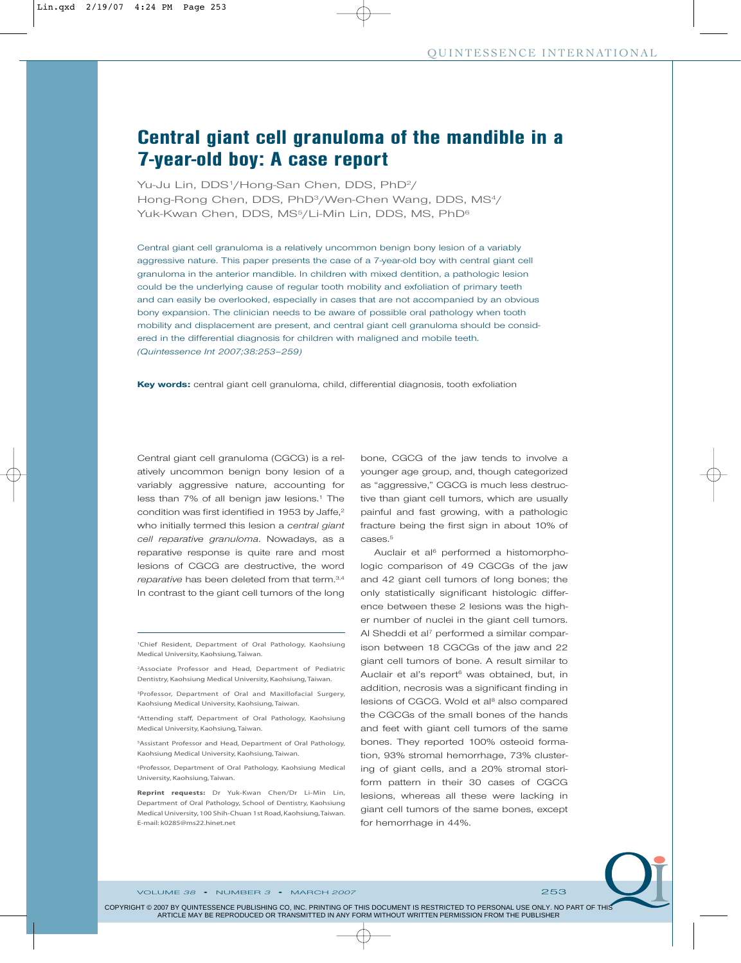# **Central giant cell granuloma of the mandible in a 7-year-old boy: A case report**

Yu-Ju Lin, DDS<sup>1</sup>/Hong-San Chen, DDS, PhD<sup>2</sup>/ Hong-Rong Chen, DDS, PhD3/Wen-Chen Wang, DDS, MS4/ Yuk-Kwan Chen, DDS, MS<sup>5</sup>/Li-Min Lin, DDS, MS, PhD<sup>6</sup>

Central giant cell granuloma is a relatively uncommon benign bony lesion of a variably aggressive nature. This paper presents the case of a 7-year-old boy with central giant cell granuloma in the anterior mandible. In children with mixed dentition, a pathologic lesion could be the underlying cause of regular tooth mobility and exfoliation of primary teeth and can easily be overlooked, especially in cases that are not accompanied by an obvious bony expansion. The clinician needs to be aware of possible oral pathology when tooth mobility and displacement are present, and central giant cell granuloma should be considered in the differential diagnosis for children with maligned and mobile teeth. *(Quintessence Int 2007;38:253–259)*

**Key words:** central giant cell granuloma, child, differential diagnosis, tooth exfoliation

Central giant cell granuloma (CGCG) is a relatively uncommon benign bony lesion of a variably aggressive nature, accounting for less than 7% of all benign jaw lesions.<sup>1</sup> The condition was first identified in 1953 by Jaffe,<sup>2</sup> who initially termed this lesion a *central giant cell reparative granuloma*. Nowadays, as a reparative response is quite rare and most lesions of CGCG are destructive, the word *reparative* has been deleted from that term.3,4 In contrast to the giant cell tumors of the long

1Chief Resident, Department of Oral Pathology, Kaohsiung Medical University, Kaohsiung, Taiwan.

2Associate Professor and Head, Department of Pediatric Dentistry, Kaohsiung Medical University, Kaohsiung, Taiwan.

3Professor, Department of Oral and Maxillofacial Surgery, Kaohsiung Medical University, Kaohsiung, Taiwan.

4Attending staff, Department of Oral Pathology, Kaohsiung Medical University, Kaohsiung, Taiwan.

5Assistant Professor and Head, Department of Oral Pathology, Kaohsiung Medical University, Kaohsiung, Taiwan.

6Professor, Department of Oral Pathology, Kaohsiung Medical University, Kaohsiung, Taiwan.

**Reprint requests:** Dr Yuk-Kwan Chen/Dr Li-Min Lin, Department of Oral Pathology, School of Dentistry, Kaohsiung Medical University, 100 Shih-Chuan 1st Road, Kaohsiung,Taiwan. E-mail: k0285@ms22.hinet.net

bone, CGCG of the jaw tends to involve a younger age group, and, though categorized as "aggressive," CGCG is much less destructive than giant cell tumors, which are usually painful and fast growing, with a pathologic fracture being the first sign in about 10% of cases.5

Auclair et al<sup>6</sup> performed a histomorphologic comparison of 49 CGCGs of the jaw and 42 giant cell tumors of long bones; the only statistically significant histologic difference between these 2 lesions was the higher number of nuclei in the giant cell tumors. Al Sheddi et al<sup>7</sup> performed a similar comparison between 18 CGCGs of the jaw and 22 giant cell tumors of bone. A result similar to Auclair et al's report<sup>6</sup> was obtained, but, in addition, necrosis was a significant finding in lesions of CGCG. Wold et al<sup>8</sup> also compared the CGCGs of the small bones of the hands and feet with giant cell tumors of the same bones. They reported 100% osteoid formation, 93% stromal hemorrhage, 73% clustering of giant cells, and a 20% stromal storiform pattern in their 30 cases of CGCG lesions, whereas all these were lacking in giant cell tumors of the same bones, except for hemorrhage in 44%.

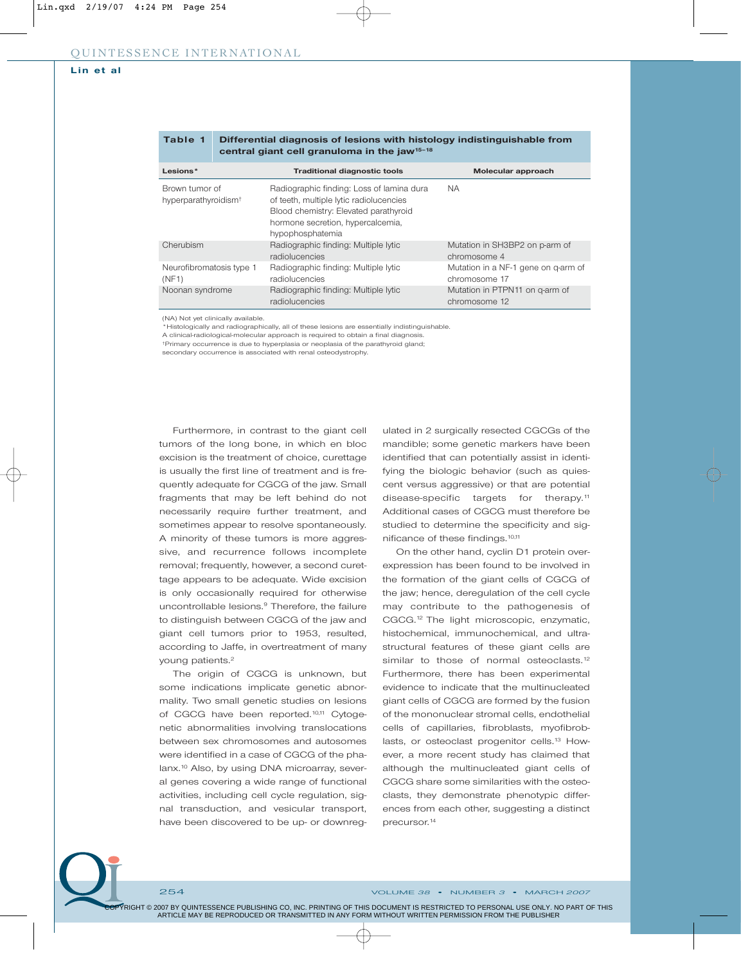#### **Lin et al**

|                                                    |  | <u>ai ailmai aileitia ain ai taglaita ilinti liialaista ai muunistuista ain</u><br>central giant cell granuloma in the jaw <sup>15-18</sup>                                            |                                                      |
|----------------------------------------------------|--|----------------------------------------------------------------------------------------------------------------------------------------------------------------------------------------|------------------------------------------------------|
| Lesions*                                           |  | <b>Traditional diagnostic tools</b>                                                                                                                                                    | Molecular approach                                   |
| Brown tumor of<br>hyperparathyroidism <sup>+</sup> |  | Radiographic finding: Loss of lamina dura<br>of teeth, multiple lytic radiolucencies<br>Blood chemistry: Elevated parathyroid<br>hormone secretion, hypercalcemia,<br>hypophosphatemia | NA.                                                  |
| Cherubism                                          |  | Radiographic finding: Multiple lytic<br>radiolucencies                                                                                                                                 | Mutation in SH3BP2 on p-arm of<br>chromosome 4       |
| Neurofibromatosis type 1<br>(NF1)                  |  | Radiographic finding: Multiple lytic<br>radiolucencies                                                                                                                                 | Mutation in a NF-1 gene on g-arm of<br>chromosome 17 |
| Noonan syndrome                                    |  | Radiographic finding: Multiple lytic<br>radiolucencies                                                                                                                                 | Mutation in PTPN11 on g-arm of<br>chromosome 12      |

# **Table 1 Differential diagnosis of lesions with histology indistinguishable from**

(NA) Not yet clinically available.

\*Histologically and radiographically, all of these lesions are essentially indistinguishable.

A clinical-radiological-molecular approach is required to obtain a final diagnosis. †Primary occurrence is due to hyperplasia or neoplasia of the parathyroid gland;

secondary occurrence is associated with renal osteodystrophy.

Furthermore, in contrast to the giant cell tumors of the long bone, in which en bloc excision is the treatment of choice, curettage is usually the first line of treatment and is frequently adequate for CGCG of the jaw. Small fragments that may be left behind do not necessarily require further treatment, and sometimes appear to resolve spontaneously. A minority of these tumors is more aggressive, and recurrence follows incomplete removal; frequently, however, a second curettage appears to be adequate. Wide excision is only occasionally required for otherwise uncontrollable lesions.9 Therefore, the failure to distinguish between CGCG of the jaw and giant cell tumors prior to 1953, resulted, according to Jaffe, in overtreatment of many young patients.<sup>2</sup>

The origin of CGCG is unknown, but some indications implicate genetic abnormality. Two small genetic studies on lesions of CGCG have been reported.10,11 Cytogenetic abnormalities involving translocations between sex chromosomes and autosomes were identified in a case of CGCG of the phalanx.<sup>10</sup> Also, by using DNA microarray, several genes covering a wide range of functional activities, including cell cycle regulation, signal transduction, and vesicular transport, have been discovered to be up- or downregulated in 2 surgically resected CGCGs of the mandible; some genetic markers have been identified that can potentially assist in identifying the biologic behavior (such as quiescent versus aggressive) or that are potential disease-specific targets for therapy.<sup>11</sup> Additional cases of CGCG must therefore be studied to determine the specificity and significance of these findings.10,11

On the other hand, cyclin D1 protein overexpression has been found to be involved in the formation of the giant cells of CGCG of the jaw; hence, deregulation of the cell cycle may contribute to the pathogenesis of CGCG.12 The light microscopic, enzymatic, histochemical, immunochemical, and ultrastructural features of these giant cells are similar to those of normal osteoclasts.<sup>12</sup> Furthermore, there has been experimental evidence to indicate that the multinucleated giant cells of CGCG are formed by the fusion of the mononuclear stromal cells, endothelial cells of capillaries, fibroblasts, myofibroblasts, or osteoclast progenitor cells.<sup>13</sup> However, a more recent study has claimed that although the multinucleated giant cells of CGCG share some similarities with the osteoclasts, they demonstrate phenotypic differences from each other, suggesting a distinct precursor.14

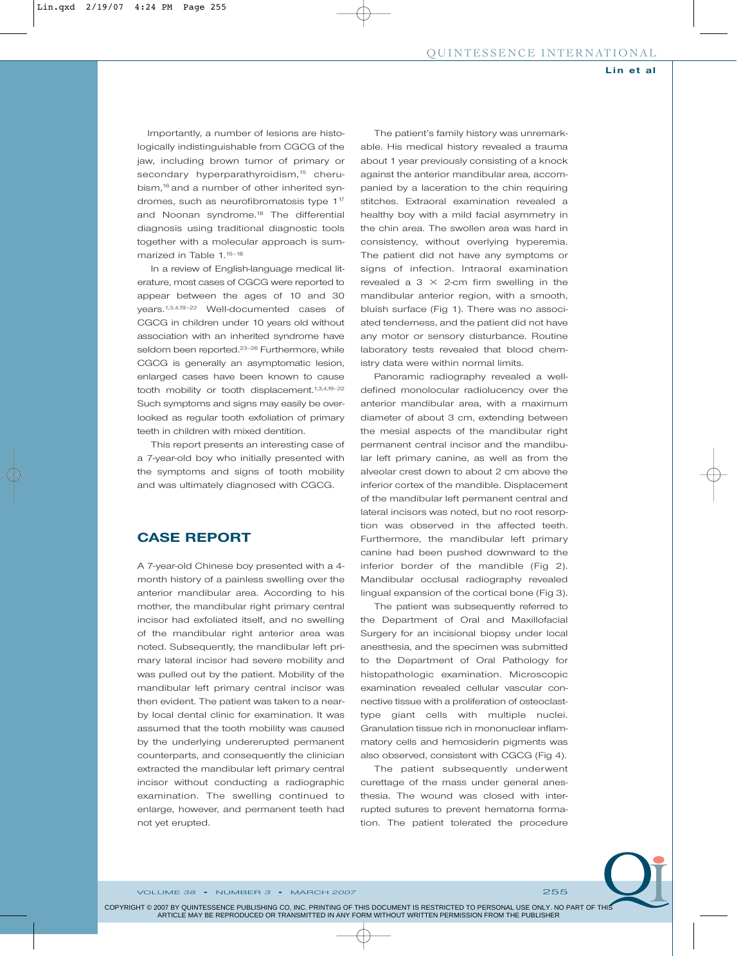Importantly, a number of lesions are histologically indistinguishable from CGCG of the jaw, including brown tumor of primary or secondary hyperparathyroidism,<sup>15</sup> cherubism,<sup>16</sup> and a number of other inherited syndromes, such as neurofibromatosis type 1<sup>17</sup> and Noonan syndrome.<sup>18</sup> The differential diagnosis using traditional diagnostic tools together with a molecular approach is summarized in Table 1.<sup>15-18</sup>

In a review of English-language medical literature, most cases of CGCG were reported to appear between the ages of 10 and 30 years.1,3,4,19–22 Well-documented cases of CGCG in children under 10 years old without association with an inherited syndrome have seldom been reported.<sup>23-26</sup> Furthermore, while CGCG is generally an asymptomatic lesion, enlarged cases have been known to cause tooth mobility or tooth displacement.<sup>1,3,4,19-22</sup> Such symptoms and signs may easily be overlooked as regular tooth exfoliation of primary teeth in children with mixed dentition.

This report presents an interesting case of a 7-year-old boy who initially presented with the symptoms and signs of tooth mobility and was ultimately diagnosed with CGCG.

#### **CASE REPORT**

A 7-year-old Chinese boy presented with a 4 month history of a painless swelling over the anterior mandibular area. According to his mother, the mandibular right primary central incisor had exfoliated itself, and no swelling of the mandibular right anterior area was noted. Subsequently, the mandibular left primary lateral incisor had severe mobility and was pulled out by the patient. Mobility of the mandibular left primary central incisor was then evident. The patient was taken to a nearby local dental clinic for examination. It was assumed that the tooth mobility was caused by the underlying undererupted permanent counterparts, and consequently the clinician extracted the mandibular left primary central incisor without conducting a radiographic examination. The swelling continued to enlarge, however, and permanent teeth had not yet erupted.

The patient's family history was unremarkable. His medical history revealed a trauma about 1 year previously consisting of a knock against the anterior mandibular area, accompanied by a laceration to the chin requiring stitches. Extraoral examination revealed a healthy boy with a mild facial asymmetry in the chin area. The swollen area was hard in consistency, without overlying hyperemia. The patient did not have any symptoms or signs of infection. Intraoral examination revealed a 3  $\times$  2-cm firm swelling in the mandibular anterior region, with a smooth, bluish surface (Fig 1). There was no associated tenderness, and the patient did not have any motor or sensory disturbance. Routine laboratory tests revealed that blood chemistry data were within normal limits.

Panoramic radiography revealed a welldefined monolocular radiolucency over the anterior mandibular area, with a maximum diameter of about 3 cm, extending between the mesial aspects of the mandibular right permanent central incisor and the mandibular left primary canine, as well as from the alveolar crest down to about 2 cm above the inferior cortex of the mandible. Displacement of the mandibular left permanent central and lateral incisors was noted, but no root resorption was observed in the affected teeth. Furthermore, the mandibular left primary canine had been pushed downward to the inferior border of the mandible (Fig 2). Mandibular occlusal radiography revealed lingual expansion of the cortical bone (Fig 3).

The patient was subsequently referred to the Department of Oral and Maxillofacial Surgery for an incisional biopsy under local anesthesia, and the specimen was submitted to the Department of Oral Pathology for histopathologic examination. Microscopic examination revealed cellular vascular connective tissue with a proliferation of osteoclasttype giant cells with multiple nuclei. Granulation tissue rich in mononuclear inflammatory cells and hemosiderin pigments was also observed, consistent with CGCG (Fig 4).

The patient subsequently underwent curettage of the mass under general anesthesia. The wound was closed with interrupted sutures to prevent hematoma formation. The patient tolerated the procedure

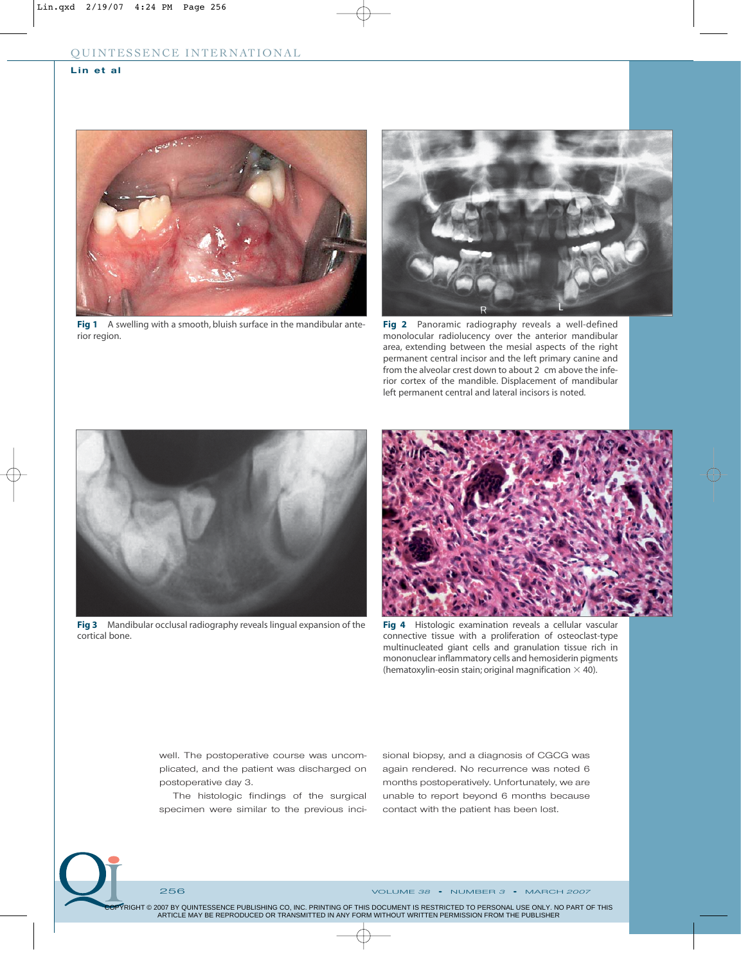### **Lin et al**



Fig 1 A swelling with a smooth, bluish surface in the mandibular anterior region.



**Fig 2** Panoramic radiography reveals a well-defined monolocular radiolucency over the anterior mandibular area, extending between the mesial aspects of the right permanent central incisor and the left primary canine and from the alveolar crest down to about 2 cm above the inferior cortex of the mandible. Displacement of mandibular left permanent central and lateral incisors is noted.



**Fig 3** Mandibular occlusal radiography reveals lingual expansion of the cortical bone.



**Fig 4** Histologic examination reveals a cellular vascular connective tissue with a proliferation of osteoclast-type multinucleated giant cells and granulation tissue rich in mononuclear inflammatory cells and hemosiderin pigments (hematoxylin-eosin stain; original magnification  $\times$  40).

well. The postoperative course was uncomplicated, and the patient was discharged on postoperative day 3.

The histologic findings of the surgical specimen were similar to the previous incisional biopsy, and a diagnosis of CGCG was again rendered. No recurrence was noted 6 months postoperatively. Unfortunately, we are unable to report beyond 6 months because contact with the patient has been lost.



256 VOLUME *38* • NUMBER *3* • MARCH *2007*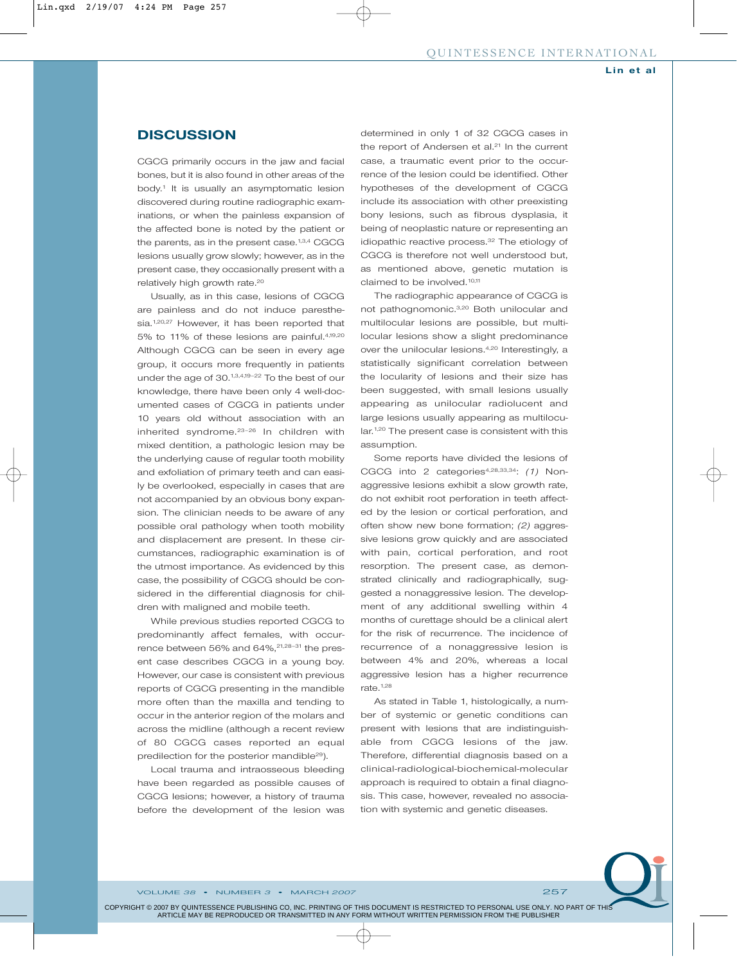#### **DISCUSSION**

CGCG primarily occurs in the jaw and facial bones, but it is also found in other areas of the body.<sup>1</sup> It is usually an asymptomatic lesion discovered during routine radiographic examinations, or when the painless expansion of the affected bone is noted by the patient or the parents, as in the present case.<sup>1,3,4</sup> CGCG lesions usually grow slowly; however, as in the present case, they occasionally present with a relatively high growth rate.<sup>20</sup>

Usually, as in this case, lesions of CGCG are painless and do not induce paresthesia.<sup>1,20,27</sup> However, it has been reported that 5% to 11% of these lesions are painful.4,19,20 Although CGCG can be seen in every age group, it occurs more frequently in patients under the age of 30.1,3,4,19–22 To the best of our knowledge, there have been only 4 well-documented cases of CGCG in patients under 10 years old without association with an inherited syndrome.23–26 In children with mixed dentition, a pathologic lesion may be the underlying cause of regular tooth mobility and exfoliation of primary teeth and can easily be overlooked, especially in cases that are not accompanied by an obvious bony expansion. The clinician needs to be aware of any possible oral pathology when tooth mobility and displacement are present. In these circumstances, radiographic examination is of the utmost importance. As evidenced by this case, the possibility of CGCG should be considered in the differential diagnosis for children with maligned and mobile teeth.

While previous studies reported CGCG to predominantly affect females, with occurrence between 56% and 64%,<sup>21,28-31</sup> the present case describes CGCG in a young boy. However, our case is consistent with previous reports of CGCG presenting in the mandible more often than the maxilla and tending to occur in the anterior region of the molars and across the midline (although a recent review of 80 CGCG cases reported an equal predilection for the posterior mandible<sup>29</sup>).

Local trauma and intraosseous bleeding have been regarded as possible causes of CGCG lesions; however, a history of trauma before the development of the lesion was

determined in only 1 of 32 CGCG cases in the report of Andersen et al.<sup>21</sup> In the current case, a traumatic event prior to the occurrence of the lesion could be identified. Other hypotheses of the development of CGCG include its association with other preexisting bony lesions, such as fibrous dysplasia, it being of neoplastic nature or representing an idiopathic reactive process.<sup>32</sup> The etiology of CGCG is therefore not well understood but, as mentioned above, genetic mutation is claimed to be involved.<sup>10,11</sup>

The radiographic appearance of CGCG is not pathognomonic.3,20 Both unilocular and multilocular lesions are possible, but multilocular lesions show a slight predominance over the unilocular lesions.4,20 Interestingly, a statistically significant correlation between the locularity of lesions and their size has been suggested, with small lesions usually appearing as unilocular radiolucent and large lesions usually appearing as multilocular.<sup>1,20</sup> The present case is consistent with this assumption.

Some reports have divided the lesions of CGCG into 2 categories<sup>4,28,33,34</sup>: (1) Nonaggressive lesions exhibit a slow growth rate, do not exhibit root perforation in teeth affected by the lesion or cortical perforation, and often show new bone formation; *(2)* aggressive lesions grow quickly and are associated with pain, cortical perforation, and root resorption. The present case, as demonstrated clinically and radiographically, suggested a nonaggressive lesion. The development of any additional swelling within 4 months of curettage should be a clinical alert for the risk of recurrence. The incidence of recurrence of a nonaggressive lesion is between 4% and 20%, whereas a local aggressive lesion has a higher recurrence rate. $1,28$ 

As stated in Table 1, histologically, a number of systemic or genetic conditions can present with lesions that are indistinguishable from CGCG lesions of the jaw. Therefore, differential diagnosis based on a clinical-radiological-biochemical-molecular approach is required to obtain a final diagnosis. This case, however, revealed no association with systemic and genetic diseases.

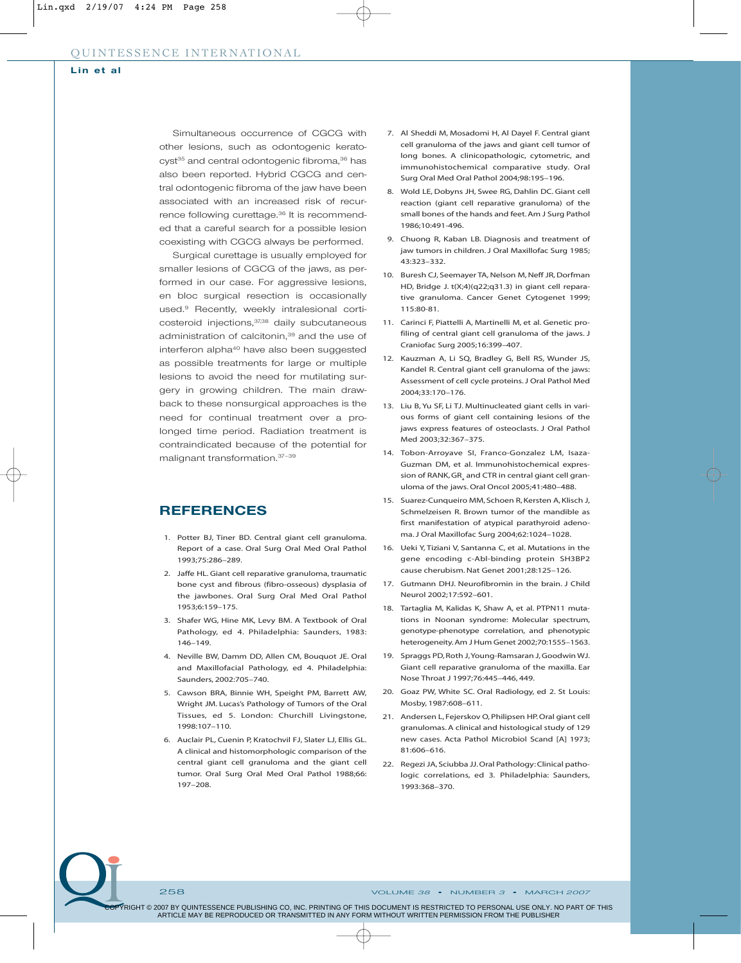Simultaneous occurrence of CGCG with other lesions, such as odontogenic keratocyst<sup>35</sup> and central odontogenic fibroma,<sup>36</sup> has also been reported. Hybrid CGCG and central odontogenic fibroma of the jaw have been associated with an increased risk of recurrence following curettage.<sup>36</sup> It is recommended that a careful search for a possible lesion coexisting with CGCG always be performed.

Surgical curettage is usually employed for smaller lesions of CGCG of the jaws, as performed in our case. For aggressive lesions, en bloc surgical resection is occasionally used.9 Recently, weekly intralesional corticosteroid injections, 37,38 daily subcutaneous administration of calcitonin,<sup>39</sup> and the use of interferon alpha<sup>40</sup> have also been suggested as possible treatments for large or multiple lesions to avoid the need for mutilating surgery in growing children. The main drawback to these nonsurgical approaches is the need for continual treatment over a prolonged time period. Radiation treatment is contraindicated because of the potential for malignant transformation.37–39

## **REFERENCES**

- 1. Potter BJ, Tiner BD. Central giant cell granuloma. Report of a case. Oral Surg Oral Med Oral Pathol 1993;75:286–289.
- 2. Jaffe HL. Giant cell reparative granuloma, traumatic bone cyst and fibrous (fibro-osseous) dysplasia of the jawbones. Oral Surg Oral Med Oral Pathol 1953;6:159–175.
- 3. Shafer WG, Hine MK, Levy BM. A Textbook of Oral Pathology, ed 4. Philadelphia: Saunders, 1983: 146–149.
- 4. Neville BW, Damm DD, Allen CM, Bouquot JE. Oral and Maxillofacial Pathology, ed 4. Philadelphia: Saunders, 2002:705–740.
- 5. Cawson BRA, Binnie WH, Speight PM, Barrett AW, Wright JM. Lucas's Pathology of Tumors of the Oral Tissues, ed 5. London: Churchill Livingstone, 1998:107–110.
- 6. Auclair PL, Cuenin P, Kratochvil FJ, Slater LJ, Ellis GL. A clinical and histomorphologic comparison of the central giant cell granuloma and the giant cell tumor. Oral Surg Oral Med Oral Pathol 1988;66: 197–208.
- 7. Al Sheddi M, Mosadomi H, Al Dayel F. Central giant cell granuloma of the jaws and giant cell tumor of long bones. A clinicopathologic, cytometric, and immunohistochemical comparative study. Oral Surg Oral Med Oral Pathol 2004;98:195–196.
- 8. Wold LE, Dobyns JH, Swee RG, Dahlin DC. Giant cell reaction (giant cell reparative granuloma) of the small bones of the hands and feet. Am J Surg Pathol 1986;10:491-496.
- 9. Chuong R, Kaban LB. Diagnosis and treatment of jaw tumors in children. J Oral Maxillofac Surg 1985; 43:323–332.
- 10. Buresh CJ, Seemayer TA, Nelson M, Neff JR, Dorfman HD, Bridge J. t(X;4)(q22;q31.3) in giant cell reparative granuloma. Cancer Genet Cytogenet 1999; 115:80-81.
- 11. Carinci F, Piattelli A, Martinelli M, et al. Genetic profiling of central giant cell granuloma of the jaws. J Craniofac Surg 2005;16:399–407.
- 12. Kauzman A, Li SQ, Bradley G, Bell RS, Wunder JS, Kandel R. Central giant cell granuloma of the jaws: Assessment of cell cycle proteins. J Oral Pathol Med 2004;33:170–176.
- 13. Liu B, Yu SF, Li TJ. Multinucleated giant cells in various forms of giant cell containing lesions of the jaws express features of osteoclasts. J Oral Pathol Med 2003;32:367–375.
- 14. Tobon-Arroyave SI, Franco-Gonzalez LM, Isaza-Guzman DM, et al. Immunohistochemical expression of RANK, GR<sub>a</sub> and CTR in central giant cell granuloma of the jaws. Oral Oncol 2005;41:480–488.
- 15. Suarez-Cunqueiro MM, Schoen R, Kersten A, Klisch J, Schmelzeisen R. Brown tumor of the mandible as first manifestation of atypical parathyroid adenoma. J Oral Maxillofac Surg 2004;62:1024–1028.
- 16. Ueki Y, Tiziani V, Santanna C, et al. Mutations in the gene encoding c-Abl-binding protein SH3BP2 cause cherubism. Nat Genet 2001;28:125–126.
- 17. Gutmann DHJ. Neurofibromin in the brain. J Child Neurol 2002;17:592–601.
- 18. Tartaglia M, Kalidas K, Shaw A, et al. PTPN11 mutations in Noonan syndrome: Molecular spectrum, genotype-phenotype correlation, and phenotypic heterogeneity.Am J Hum Genet 2002;70:1555–1563.
- 19. Spraggs PD, Roth J,Young-Ramsaran J, Goodwin WJ. Giant cell reparative granuloma of the maxilla. Ear Nose Throat J 1997;76:445–446, 449.
- 20. Goaz PW, White SC. Oral Radiology, ed 2. St Louis: Mosby, 1987:608–611.
- 21. Andersen L, Fejerskov O, Philipsen HP. Oral giant cell granulomas. A clinical and histological study of 129 new cases. Acta Pathol Microbiol Scand [A] 1973; 81:606–616.
- 22. Regezi JA, Sciubba JJ. Oral Pathology: Clinical pathologic correlations, ed 3*.* Philadelphia: Saunders, 1993:368–370.

258 VOLUME *38* • NUMBER *3* • MARCH *2007*